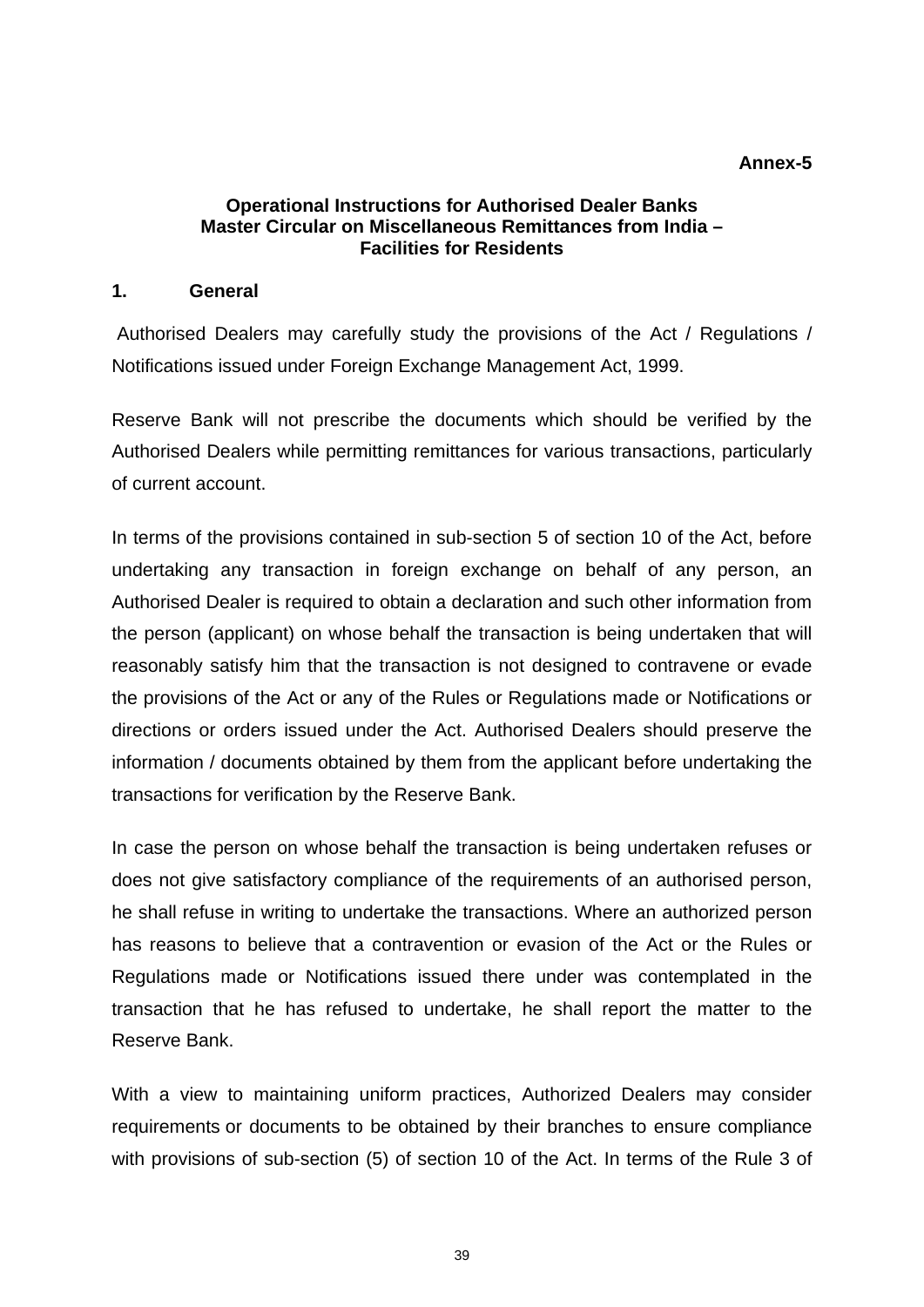#### **Annex-5**

## **Operational Instructions for Authorised Dealer Banks Master Circular on Miscellaneous Remittances from India – Facilities for Residents**

#### **1. General**

Authorised Dealers may carefully study the provisions of the Act / Regulations / Notifications issued under Foreign Exchange Management Act, 1999.

Reserve Bank will not prescribe the documents which should be verified by the Authorised Dealers while permitting remittances for various transactions, particularly of current account.

In terms of the provisions contained in sub-section 5 of section 10 of the Act, before undertaking any transaction in foreign exchange on behalf of any person, an Authorised Dealer is required to obtain a declaration and such other information from the person (applicant) on whose behalf the transaction is being undertaken that will reasonably satisfy him that the transaction is not designed to contravene or evade the provisions of the Act or any of the Rules or Regulations made or Notifications or directions or orders issued under the Act. Authorised Dealers should preserve the information / documents obtained by them from the applicant before undertaking the transactions for verification by the Reserve Bank.

In case the person on whose behalf the transaction is being undertaken refuses or does not give satisfactory compliance of the requirements of an authorised person, he shall refuse in writing to undertake the transactions. Where an authorized person has reasons to believe that a contravention or evasion of the Act or the Rules or Regulations made or Notifications issued there under was contemplated in the transaction that he has refused to undertake, he shall report the matter to the Reserve Bank.

With a view to maintaining uniform practices, Authorized Dealers may consider requirements or documents to be obtained by their branches to ensure compliance with provisions of sub-section (5) of section 10 of the Act. In terms of the Rule 3 of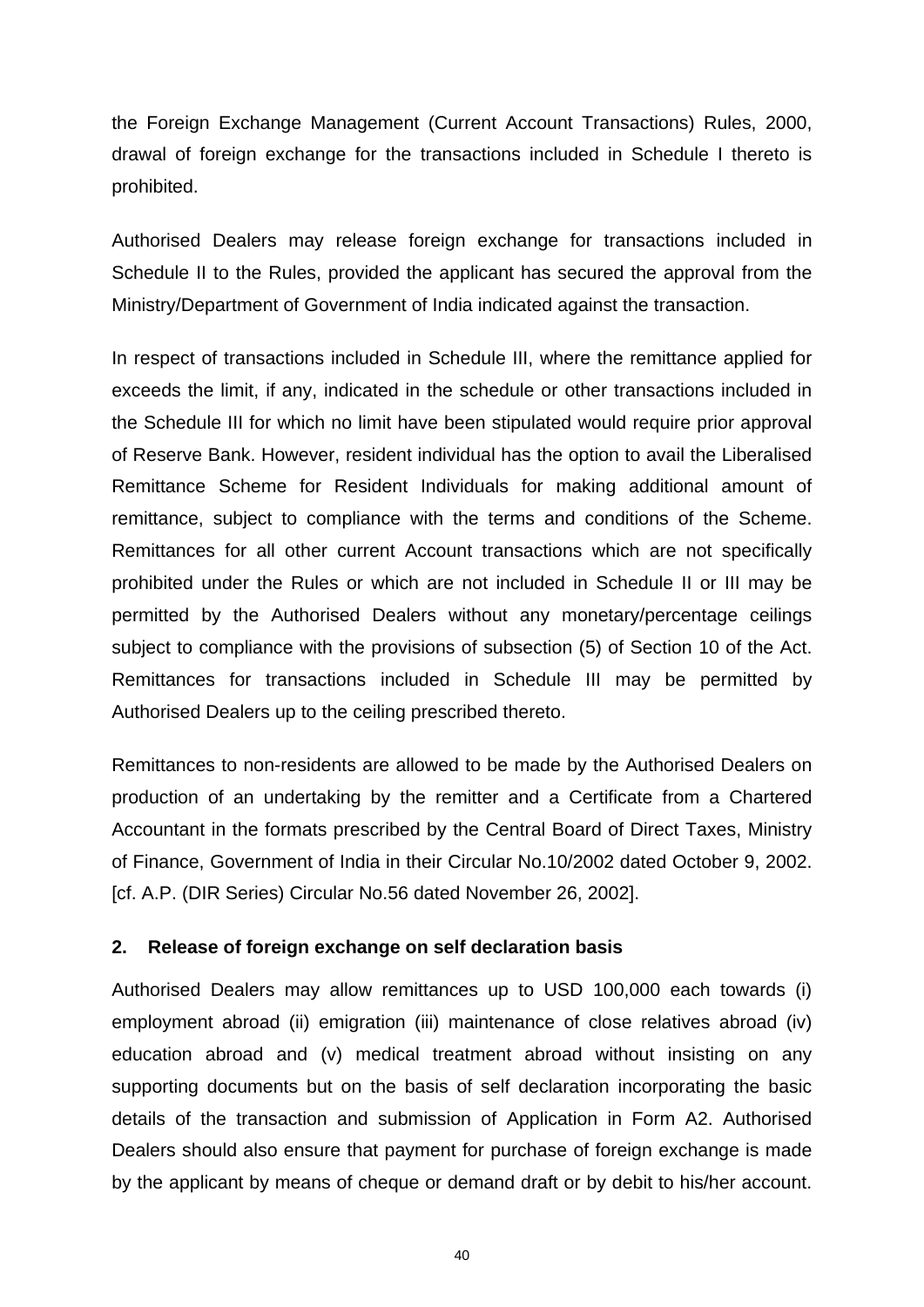the Foreign Exchange Management (Current Account Transactions) Rules, 2000, drawal of foreign exchange for the transactions included in Schedule I thereto is prohibited.

Authorised Dealers may release foreign exchange for transactions included in Schedule II to the Rules, provided the applicant has secured the approval from the Ministry/Department of Government of India indicated against the transaction.

In respect of transactions included in Schedule III, where the remittance applied for exceeds the limit, if any, indicated in the schedule or other transactions included in the Schedule III for which no limit have been stipulated would require prior approval of Reserve Bank. However, resident individual has the option to avail the Liberalised Remittance Scheme for Resident Individuals for making additional amount of remittance, subject to compliance with the terms and conditions of the Scheme. Remittances for all other current Account transactions which are not specifically prohibited under the Rules or which are not included in Schedule II or III may be permitted by the Authorised Dealers without any monetary/percentage ceilings subject to compliance with the provisions of subsection (5) of Section 10 of the Act. Remittances for transactions included in Schedule III may be permitted by Authorised Dealers up to the ceiling prescribed thereto.

Remittances to non-residents are allowed to be made by the Authorised Dealers on production of an undertaking by the remitter and a Certificate from a Chartered Accountant in the formats prescribed by the Central Board of Direct Taxes, Ministry of Finance, Government of India in their Circular No.10/2002 dated October 9, 2002. [cf. A.P. (DIR Series) Circular No.56 dated November 26, 2002].

## **2. Release of foreign exchange on self declaration basis**

Authorised Dealers may allow remittances up to USD 100,000 each towards (i) employment abroad (ii) emigration (iii) maintenance of close relatives abroad (iv) education abroad and (v) medical treatment abroad without insisting on any supporting documents but on the basis of self declaration incorporating the basic details of the transaction and submission of Application in Form A2. Authorised Dealers should also ensure that payment for purchase of foreign exchange is made by the applicant by means of cheque or demand draft or by debit to his/her account.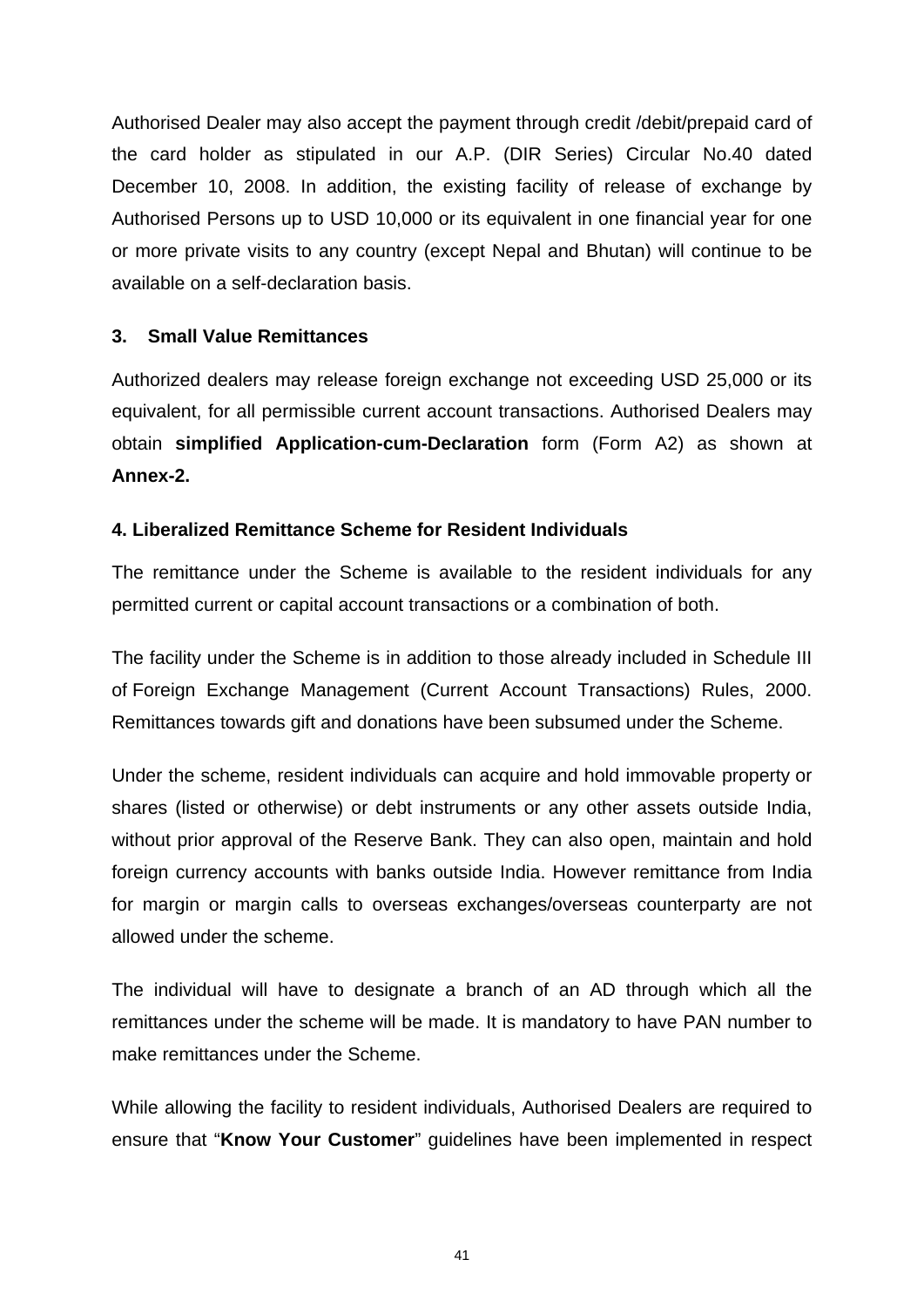Authorised Dealer may also accept the payment through credit /debit/prepaid card of the card holder as stipulated in our A.P. (DIR Series) Circular No.40 dated December 10, 2008. In addition, the existing facility of release of exchange by Authorised Persons up to USD 10,000 or its equivalent in one financial year for one or more private visits to any country (except Nepal and Bhutan) will continue to be available on a self-declaration basis.

# **3. Small Value Remittances**

Authorized dealers may release foreign exchange not exceeding USD 25,000 or its equivalent, for all permissible current account transactions. Authorised Dealers may obtain **simplified Application-cum-Declaration** form (Form A2) as shown at **Annex-2.**

## **4. Liberalized Remittance Scheme for Resident Individuals**

The remittance under the Scheme is available to the resident individuals for any permitted current or capital account transactions or a combination of both.

The facility under the Scheme is in addition to those already included in Schedule III of Foreign Exchange Management (Current Account Transactions) Rules, 2000. Remittances towards gift and donations have been subsumed under the Scheme.

Under the scheme, resident individuals can acquire and hold immovable property or shares (listed or otherwise) or debt instruments or any other assets outside India, without prior approval of the Reserve Bank. They can also open, maintain and hold foreign currency accounts with banks outside India. However remittance from India for margin or margin calls to overseas exchanges/overseas counterparty are not allowed under the scheme.

The individual will have to designate a branch of an AD through which all the remittances under the scheme will be made. It is mandatory to have PAN number to make remittances under the Scheme.

While allowing the facility to resident individuals, Authorised Dealers are required to ensure that "**Know Your Customer**" guidelines have been implemented in respect